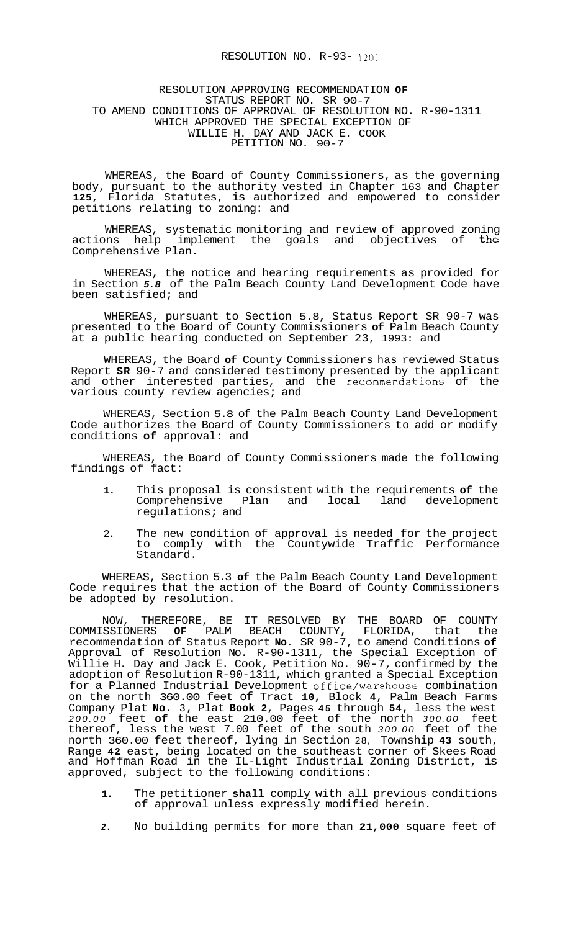## RESOLUTION NO. R-93- 1201

## RESOLUTION APPROVING RECOMMENDATION **OF**  STATUS REPORT NO. SR 90-7 TO AMEND CONDITIONS OF APPROVAL OF RESOLUTION NO. R-90-1311 WHICH APPROVED THE SPECIAL EXCEPTION OF WILLIE H. DAY AND JACK E. COOK PETITION NO. 90-7

WHEREAS, the Board of County Commissioners, as the governing body, pursuant to the authority vested in Chapter 163 and Chapter **125,** Florida Statutes, is authorized and empowered to consider petitions relating to zoning: and

WHEREAS, systematic monitoring and review of approved zoning actions help implement the goals and objectives of the Comprehensive Plan.

WHEREAS, the notice and hearing requirements as provided for in Section *5.8* of the Palm Beach County Land Development Code have been satisfied; and

WHEREAS, pursuant to Section 5.8, Status Report SR 90-7 was presented to the Board of County Commissioners **of** Palm Beach County at a public hearing conducted on September 23, 1993: and

WHEREAS, the Board **of** County Commissioners has reviewed Status Report **SR** 90-7 and considered testimony presented by the applicant and other interested parties, and the recommendations of the various county review agencies; and

WHEREAS, Section 5.8 of the Palm Beach County Land Development Code authorizes the Board of County Commissioners to add or modify conditions **of** approval: and

WHEREAS, the Board of County Commissioners made the following findings of fact:

- **1.** This proposal is consistent with the requirements **of** the Comprehensive Plan and local land development regulations; and
- 2. The new condition of approval is needed for the project to comply with the Countywide Traffic Performance Standard.

WHEREAS, Section 5.3 **of** the Palm Beach County Land Development Code requires that the action of the Board of County Commissioners be adopted by resolution.

NOW, THEREFORE, BE IT RESOLVED BY THE BOARD OF COUNTY COMMISSIONERS **OF** PALM BEACH COUNTY, FLORIDA, that the recommendation of Status Report **No.** SR 90-7, to amend Conditions **of**  Approval of Resolution No. R-90-1311, the Special Exception of Willie H. Day and Jack E. Cook, Petition No. 90-7, confirmed by the adoption of Resolution R-90-1311, which granted a Special Exception for a Planned Industrial Development office/warehouse combination on the north 360.00 feet of Tract **10,** Block **4,** Palm Beach Farms Company Plat **No.** 3, Plat **Book 2,** Pages **45** through **54,** less the west *200.00* feet **of** the east 210.00 feet of the north *300.00* feet thereof, less the west 7.00 feet of the south *300.00* feet of the north 360.00 feet thereof, lying in Section 28, Township **43** south, Range **42** east, being located on the southeast corner of Skees Road and Hoffman Road in the IL-Light Industrial Zoning District, is approved, subject to the following conditions:

- **1.** The petitioner **shall** comply with all previous conditions of approval unless expressly modified herein.
- *2.* No building permits for more than **21,000** square feet of